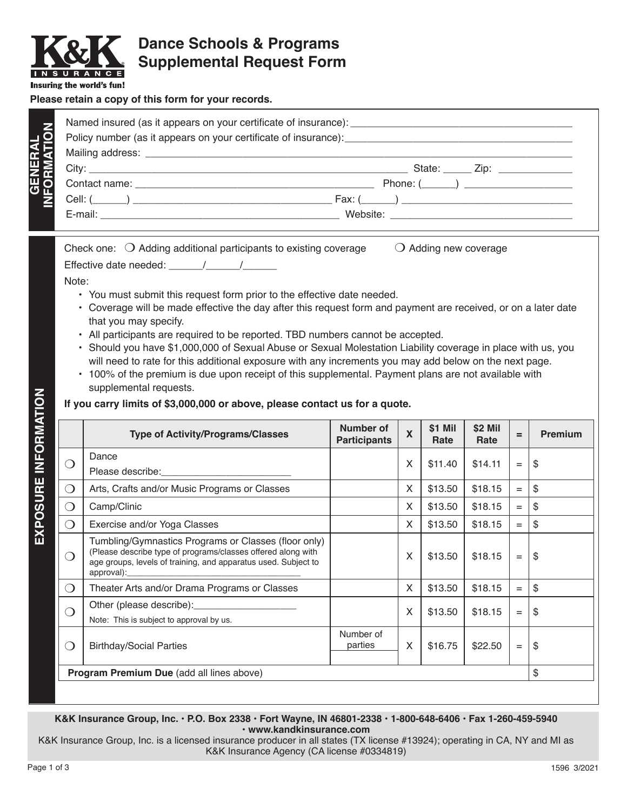

# **Dance Schools & Programs Supplemental Request Form**

Insuring the world's fun!

**GENERAL**

GENERAL

#### **Please retain a copy of this form for your records.**

| <b>ATIO</b> |                                                                                                                                                                                                                                                                                              |  |  |  |
|-------------|----------------------------------------------------------------------------------------------------------------------------------------------------------------------------------------------------------------------------------------------------------------------------------------------|--|--|--|
| 卮           | State: $\qquad \qquad \text{Zip:}$                                                                                                                                                                                                                                                           |  |  |  |
|             | Phone: $(\_\_\_\_)$                                                                                                                                                                                                                                                                          |  |  |  |
|             | $Fax: ($ and $)$ and $\frac{1}{2}$ and $\frac{1}{2}$ and $\frac{1}{2}$ and $\frac{1}{2}$ and $\frac{1}{2}$ and $\frac{1}{2}$ and $\frac{1}{2}$ and $\frac{1}{2}$ and $\frac{1}{2}$ and $\frac{1}{2}$ and $\frac{1}{2}$ and $\frac{1}{2}$ and $\frac{1}{2}$ and $\frac{1}{2}$ and $\frac{1}{$ |  |  |  |
|             | Website: <u>_____________________________</u>                                                                                                                                                                                                                                                |  |  |  |
|             |                                                                                                                                                                                                                                                                                              |  |  |  |

| Check one: $\bigcirc$ Adding additional participants to existing coverage | $\bigcirc$ Adding new coverage |
|---------------------------------------------------------------------------|--------------------------------|
| Effective date needed:                                                    |                                |

Note:

- You must submit this request form prior to the effective date needed.
- Coverage will be made effective the day after this request form and payment are received, or on a later date that you may specify.
- All participants are required to be reported. TBD numbers cannot be accepted.
- Should you have \$1,000,000 of Sexual Abuse or Sexual Molestation Liability coverage in place with us, you will need to rate for this additional exposure with any increments you may add below on the next page.
- 100% of the premium is due upon receipt of this supplemental. Payment plans are not available with supplemental requests.

### **If you carry limits of \$3,000,000 or above, please contact us for a quote.**

|                                                  | <b>Type of Activity/Programs/Classes</b>                                                                                                                                                                                                                                        | Number of<br><b>Participants</b> | $\overline{\mathbf{X}}$ | \$1 Mil<br>Rate | \$2 Mil<br>Rate | $=$               | <b>Premium</b> |
|--------------------------------------------------|---------------------------------------------------------------------------------------------------------------------------------------------------------------------------------------------------------------------------------------------------------------------------------|----------------------------------|-------------------------|-----------------|-----------------|-------------------|----------------|
| $(\quad)$                                        | Dance                                                                                                                                                                                                                                                                           |                                  | X                       | \$11.40         | \$14.11         | $=$               | \$             |
| $\left(\begin{array}{c} \end{array}\right)$      | Arts, Crafts and/or Music Programs or Classes                                                                                                                                                                                                                                   |                                  | X                       | \$13.50         | \$18.15         | $=$               | \$             |
| $\Box$                                           | Camp/Clinic                                                                                                                                                                                                                                                                     |                                  | X                       | \$13.50         | \$18.15         | $=$               | \$             |
| 0                                                | Exercise and/or Yoga Classes                                                                                                                                                                                                                                                    |                                  | X                       | \$13.50         | \$18.15         | $=$               | \$             |
| $\left( \begin{array}{c} \end{array} \right)$    | Tumbling/Gymnastics Programs or Classes (floor only)<br>(Please describe type of programs/classes offered along with<br>age groups, levels of training, and apparatus used. Subject to                                                                                          |                                  | X                       | \$13.50         | \$18.15         | $=$               | \$             |
| $\left( \begin{array}{c} \end{array} \right)$    | Theater Arts and/or Drama Programs or Classes                                                                                                                                                                                                                                   |                                  | X                       | \$13.50         | \$18.15         | $\qquad \qquad =$ | $\mathfrak{S}$ |
| $\left( \begin{array}{c} \end{array} \right)$    | Other (please describe): <u>[</u> [11] Decree the state of the state of the state of the state of the state of the state of the state of the state of the state of the state of the state of the state of the state of the state of<br>Note: This is subject to approval by us. |                                  | X                       | \$13.50         | \$18.15         | $\qquad \qquad =$ | \$             |
| $\left( \quad \right)$                           | <b>Birthday/Social Parties</b>                                                                                                                                                                                                                                                  | Number of<br>parties             | X                       | \$16.75         | \$22.50         | $=$               | \$             |
| <b>Program Premium Due (add all lines above)</b> |                                                                                                                                                                                                                                                                                 |                                  |                         |                 |                 | \$                |                |
|                                                  |                                                                                                                                                                                                                                                                                 |                                  |                         |                 |                 |                   |                |

#### **K&K Insurance Group, Inc. • P.O. Box 2338 • Fort Wayne, IN 46801-2338 • 1-800-648-6406 • Fax 1-260-459-5940 • www.kandkinsurance.com**

K&K Insurance Group, Inc. is a licensed insurance producer in all states (TX license #13924); operating in CA, NY and MI as K&K Insurance Agency (CA license #0334819)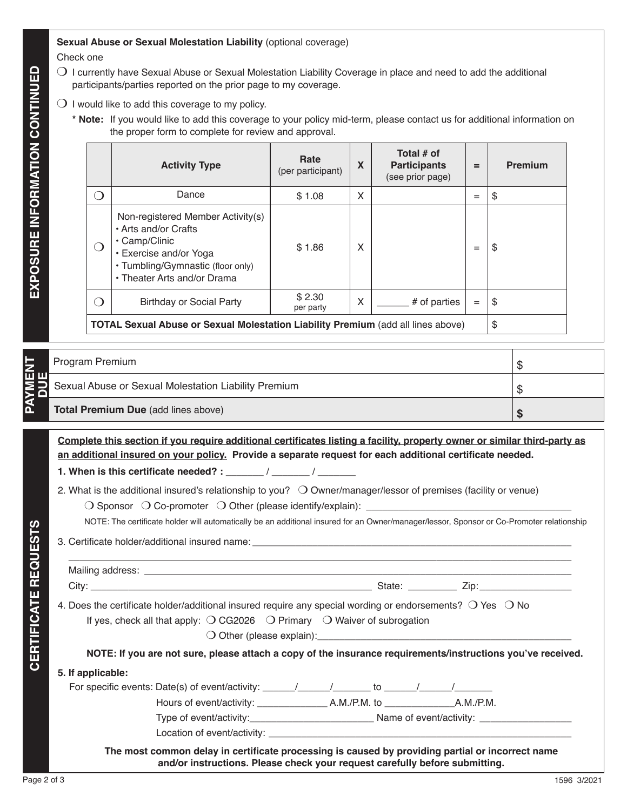## **Sexual Abuse or Sexual Molestation Liability** (optional coverage)

Check one

- $\bigcirc$  I currently have Sexual Abuse or Sexual Molestation Liability Coverage in place and need to add the additional participants/parties reported on the prior page to my coverage.
- $\bigcirc$  I would like to add this coverage to my policy.
	- **\* Note:** If you would like to add this coverage to your policy mid-term, please contact us for additional information on the proper form to complete for review and approval.

|                                                                                         | <b>Activity Type</b>                                                                                                                                                     | Rate<br>(per participant) | X | Total # of<br><b>Participants</b><br>(see prior page) | $=$ | <b>Premium</b> |
|-----------------------------------------------------------------------------------------|--------------------------------------------------------------------------------------------------------------------------------------------------------------------------|---------------------------|---|-------------------------------------------------------|-----|----------------|
| $\left( \quad \right)$                                                                  | Dance                                                                                                                                                                    | \$1.08                    | X |                                                       | $=$ | \$             |
|                                                                                         | Non-registered Member Activity(s)<br>• Arts and/or Crafts<br>• Camp/Clinic<br>• Exercise and/or Yoga<br>• Tumbling/Gymnastic (floor only)<br>• Theater Arts and/or Drama | \$1.86                    | X |                                                       | $=$ | \$             |
| $\left(\begin{array}{c} \end{array}\right)$                                             | <b>Birthday or Social Party</b>                                                                                                                                          | \$2.30<br>per party       | X | # of parties                                          | $=$ | \$             |
| <b>TOTAL Sexual Abuse or Sexual Molestation Liability Premium (add all lines above)</b> |                                                                                                                                                                          |                           |   |                                                       |     | \$             |

| н. | Program Premium                                      |  |
|----|------------------------------------------------------|--|
| шι | Sexual Abuse or Sexual Molestation Liability Premium |  |
| בֿ | <b>Total Premium Due (add lines above)</b>           |  |

**Complete this section if you require additional certificates listing a facility, property owner or similar third-party as an additional insured on your policy. Provide a separate request for each additional certificate needed.** 

**1. When is this certificate needed? :** \_\_\_\_\_\_\_ / \_\_\_\_\_\_\_ / \_\_\_\_\_\_\_

2. What is the additional insured's relationship to you?  $\bigcirc$  Owner/manager/lessor of premises (facility or venue)

 $\bigcirc$  Sponsor  $\bigcirc$  Co-promoter  $\bigcirc$  Other (please identify/explain):  $\_$ 

NOTE: The certificate holder will automatically be an additional insured for an Owner/manager/lessor, Sponsor or Co-Promoter relationship

3. Certificate holder/additional insured name:

 $\overline{\phantom{a}}$  , and the contribution of the contribution of the contribution of the contribution of the contribution of the contribution of the contribution of the contribution of the contribution of the contribution of the Mailing address: **Example 20** and  $\alpha$  and  $\alpha$  and  $\alpha$  and  $\alpha$  and  $\alpha$  and  $\alpha$  and  $\alpha$  and  $\alpha$  and  $\alpha$  and  $\alpha$  and  $\alpha$  and  $\alpha$  and  $\alpha$  and  $\alpha$  and  $\alpha$  and  $\alpha$  and  $\alpha$  and  $\alpha$  and  $\alpha$  and  $\alpha$  and  $\alpha$  and City: \_\_\_\_\_\_\_\_\_\_\_\_\_\_\_\_\_\_\_\_\_\_\_\_\_\_\_\_\_\_\_\_\_\_\_\_\_\_\_\_\_\_\_\_\_\_\_\_\_\_\_\_ State: \_\_\_\_\_\_\_\_\_ Zip:\_\_\_\_\_\_\_\_\_\_\_\_\_\_\_\_\_ 4. Does the certificate holder/additional insured require any special wording or endorsements?  $\bigcirc$  Yes  $\bigcirc$  No If yes, check all that apply:  $\bigcirc$  CG2026  $\bigcirc$  Primary  $\bigcirc$  Waiver of subrogation  $\bigcirc$  Other (please explain): **NOTE: If you are not sure, please attach a copy of the insurance requirements/instructions you've received. 5. If applicable:** For specific events: Date(s) of event/activity: \_\_\_\_\_\_/\_\_\_\_\_\_/\_\_\_\_\_\_\_ to \_\_\_\_\_\_/\_\_\_\_\_\_/\_\_\_\_\_\_\_ Hours of event/activity: \_\_\_\_\_\_\_\_\_\_\_\_\_ A.M./P.M. to \_\_\_\_\_\_\_\_\_\_\_\_\_A.M./P.M. Type of event/activity:\_\_\_\_\_\_\_\_\_\_\_\_\_\_\_\_\_\_\_\_\_\_\_ Name of event/activity: \_\_\_\_\_\_\_\_\_\_\_\_\_\_\_\_\_ Location of event/activity: **The most common delay in certificate processing is caused by providing partial or incorrect name and/or instructions. Please check your request carefully before submitting.**

**DAVMENT** 

**CERTIFICATE REQUESTS**

**CERTIFICATE REQUESTS**